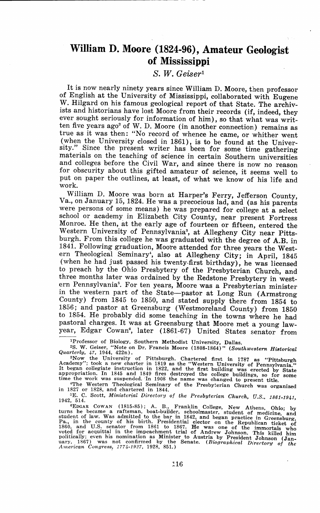## **William D. Moore (1824-96), Amateur Geologist of Mississippi**

*S. W. Gei,ser<sup>1</sup>*

It is now nearly ninety years since William D. Moore, then professor of English at the University of Mississippi, collaborated with Eugene W. Hilgard on his famous geological report of that State. The archivists and historians have lost Moore from their records (if, indeed, they ever sought seriously for information of him), so that what was written five years  $ago^2$  of W. D. Moore (in another connection) remains as true as it was then: "No record of whence he came, or whither went sity." Since the present writer has been for some time gathering materials on the teaching of science in certain Southern universities and colleges before the Civil War, and since there is now no reason for obscurity about this gifted amateur of seience, it seems well to put on paper the outlines, at least, of what we know of his life and work.

William D. Moore was born at Harper's Ferry, Jefferson County, Va., on January 15, 1824. He was a precocious lad, and (as his parents were persons of some means) he was prepared for college at a select school or academy in Elizabeth City County, near present Fortress Monroe. He then, at the early age of fourteen or fifteen, entered the Western University of Pennsylvania<sup>3</sup>, at Allegheny City near Pittsburgh. From this college he was graduated with the degree of **A.B.** in 1841. Following graduation, Moore attended for three years the Western Theological Seminary', also at Allegheny City; in April, 1845 (when he had just passed his twenty-first birthday), he was licensed to preach by the Ohio Presbytery of the Presbyterian Church, and three months later was ordained by the Redstone Presbytery in western Pennsylvania". For ten years, Moore was a Presbyterian minister in the western part of the State-pastor at Long Run (Armstrong County) from 1845 to 1850, and stated supply there from 1854 to 1856; and pastor at Greensburg (Westmoreland County) from 1850 to 1854. He probably did some teaching in the towns where he had pastoral charges. It was at Greensburg that Moore met a young lawyear, Edgar Cowan•, later (1861-67) United States senator from

'Professor of Biology, Southern Methodist University, Dallas.

•s. W. Geiser, "Note on Dr. Francis Moore (1808-1864)" *(Southwestern Hi•torical Quarterly, 47,* 1944, 422n).

Guaranteeray, 4/, 1944, 4241).<br>
"Now the University of Pittsburgh. Chartered first in 1787 as "Pittsburgh Academy"; took a new charter in 1819 as the "Western University of Pennsylvania."<br>
It began collegiate instruction i

4The Western Theological Seminary of the Presbyterian Church was organized<br>in 1827 or 1828, and chartered in 1844.

<sup>5</sup>E. C. Scott, *Ministerial Directory of the Presbyterian Church*, U.S., 1861-1941, <sup>1942</sup>, <sup>514</sup>.

1942, 514. •EDGAR COWAN (1815-85); A. B., Franklin College, New Athens, Ohio; by **turns he became a raftsman, boat-builder, schoolmaster, student of medicine and**  student of law. Was admitted to the bar in 1842, and began practice in Greensburg,  $P_{a,j}$  in the county of his birth. Presidential elector on the Republican ticket of 1860, and U.S. senator from 1861 to 1867. He was one of the immortals who voted for acquittal in the impectance trial of Andrew Johnson. This killed him politically; even his nomination as Minister to Austria by President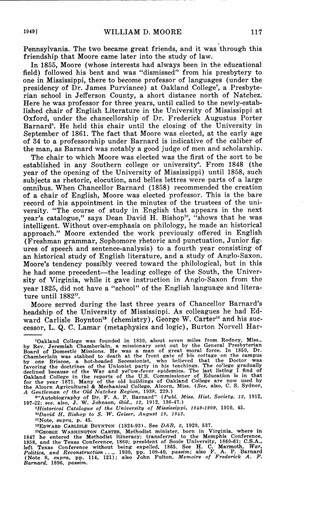Pennsylvania. The two became great friends, and it was through this friendship that Moore came later into the study of law.

In 1855, Moore (whose interests had always been in the educational field) followed his, bent and was "dismissed" from his presbytery to one in Mississippi, there to become professor of languages (under the presidency of Dr. James Purviance) at Oakland College<sup>7</sup>, a Presbyterian school in Jefferson County, a short distance north of Natchez. Here he was professor for three years, until called to the newly-established chair of English Literature in the University of Mississippi at Oxford, under the chancellorship of Dr. Frederick Augustus Porter Barnard<sup>8</sup>. He held this chair until the closing of the University in September of 1861. The fact that Moore was elected, at the early age of 34 to a professorship under Barnard is indicative of the caliber of the man, as Barnard was notably a good judge of men and scholarship.

The chair to which Moore was elected was the first of the sort to be established in any Southern college or university•. From 1848 (the year of the opening of the University of Mississippi) until 1858, such subjects as rhetoric, elocution, and belles lettres were parts of a large omnibus. When Chancellor Barnard (1858) recommended the creation of a chair of English, Moore was elected professor. This is the bare record of his appointment in the minutes of the trustees of the university. "The course of study in English that appears in the next year's catalogue," says Dean David H. Bishop<sup>10</sup>, "shows that he was intelligent. Without over-emphasis on philology, he made an historical approach." Moore extended the work previously offered in English (Freshman grammar, Sophomore rhetoric and punctuation, Junior figures of speech and sentence-analysis) to a fourth year consisting of an historical study of English literature, and a study of Anglo-Saxon. Moore's tendency possibly veered toward the philological, but in this he had some precedent-the leading college of the South, the University of Virginia, while it gave instruction in Anglo-Saxon from the year 1825, did not have a "school" of the English language and literature until 1882<sup>11</sup>.

Moore served during the last three years of Chancellor Barnard's headship of the University of Mississippi. As colleagues he had Edward Carlisle Boynton<sup>12</sup> (chemistry), George W. Carter<sup>13</sup> and his successor, L. Q. C. Lamar (metaphysics and logic), Burton Norvell Har-

<sup>9</sup>Historical Catalogue of the University of Mississippi, 1849-1909, 1910, 45.<br><sup>10</sup>David H. Bishop to S. W. Geiser, August 19, 1942.

**<sup>11</sup>Note,** *supra,* **p. 45.** 

TOakland College was founded in 1830, about seven miles from Rodney, Miss., by Rev. Jeremiah Chamberlain. a missionsry sent out by the General Presbyterian Board of Domestic Missions. He was a man of great moral force. In

<sup>&</sup>lt;sup>12</sup>EDWARD CARLISLE BOYNTON (1824-93). See *DAB*, 2, 1929, 537.<br><sup>12</sup>GEORGE WASHINGTON CARTER, Methodist minister, born in Virginia, where in<br>1847 he entered the Methodist timenacy; transferred to the Memphis Conference,<br>1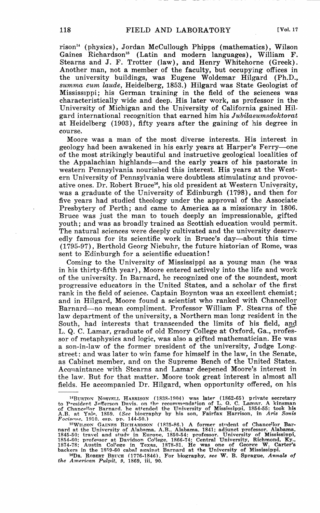rison" (physics), Jordan McCullough Phipps (mathematics), Wilson Gaines Richardson<sup>15</sup> (Latin and modern languages), William F. Stearns and J. F. Trotter (law), and Henry Whitehorne (Greek). Another man, not a member of the faculty, but occupying offices in the university buildings, was Eugene Woldemar Hilgard (Ph.D., *summa cum laude,* Heidelberg, 1853.) Hilgard was State Geologist of Mississippi; his German training in the field of the sciences was characteristically wide and deep. His later work, as professor in the University of Michigan and the University of California gained Hilgard international recognition that earned him his *Jubilaeumsdoktorat*  at Heidelberg (1903), fifty years after the gaining of his degree in course.

Moore was a man of the most diverse interests. His interest in geology had been awakened in his early years at Harper's Ferry--one of the most strikingly beautiful and instructive geological localities of the Appalachian highlands-and the early years of his pastorate in western Pennsylvania nourished this interest. His years at the Western University of Pennsylvania were doubtless stimulating and provocative ones. Dr. Robert Bruce<sup>16</sup>, his old president at Western University, was a graduate of the University of Edinburgh (1798), and then for five years had studied theology under the approval of the Associate Presbytery of Perth; and came to America as a missionary in 1806. Bruce was just the man to touch deeply an impressionable, gifted youth; and was as broadly trained as Scottish education would permit. The natural sciences were deeply cultivated and the university deservedly famous for its scientific work in Bruce's day-about this time (1795-97), Berthold Georg Niebuhr, the future historian of Rome, was sent to Edinburgh for a scientific education!

Coming to the University of Mississippi as a young man (he was in his thirty-fifth year), Moore entered actively into the life and work of the university. In Barnard, he recognized one of the soundest, most progressive educators in the United States, and a scholar of the first rank in the field of science. Captain Boynton was an excellent chemist; and in Hilgard, Moore found a scientist who ranked with Chancellor Barnard-no mean compliment. Professor William F. Stearns of the law department of the university, a Northern man long resident in the South, had interests that transcended the limits of his field, and L. Q. C. Lamar, graduate of old Emory College at Oxford, Ga., professor of metaphysics and logic, was also a gifted mathematician. He was a son-in-law of the former president of the university, Judge Longstreet: and was later to win fame for himself in the law, in the Senate, as Cabinet member, and on the Supreme Bench of the United States. Acqnaintance with Stearns and Lamar deepened Moore's interest in the law. But for that matter. Moore took great interest in almost all fields. He accompanied Dr. Hilgard, when opportunity offered, on his

<sup>&</sup>lt;sup>14</sup>BURTON NORVELL HARRISON (1838-1904) was later (1862-65) private secretary<br>to President Jefferson Davis. on the recommendation of L. Q. C. Lamar. A kinsman<br>of Chancellor Barnard. he attended the University of Mississipp

<sup>&</sup>lt;sup>15</sup>WILSON GAINES RICHARDSON (1825-86.) A former student of Chancellor Barnard at the University of Alabama. A.B., Alabama, 1841; adiunct professor, Alabama. 1845-50; travel and study in Europe, 1850-54; professor. Univers

<sup>16</sup>DR. ROBERT BRUCE 0776-1846). For biography, *see* W. B. Sprague, *Annals of the American Pulpit, 9,* 1869, iii, 90.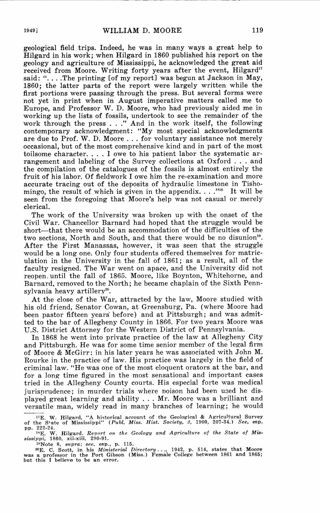geological field trips. Indeed, he was in many ways a great help to Hilgard in his work; when Hilgard in 1860 published his report on the geology and agriculture of Mississippi, he acknowledged the great aid received from Moore. Writing forty years after the event, Hilgard<sup>17</sup> said: "....The printing [of my report] was begun at Jackson in May, 1860; the latter parts of the report were largely written while the first portions were passing through the press. But several forms were not yet in print when in August imperative matters called me to Europe, and Professor W. D. Moore, who had previously aided me in working up the lists of fossils, undertook to see the remainder of the work through the press ... " And in the work itself, the following contemporary acknowledgment: **"My** most special acknowledgments are due to Prof. **W.** D. Moore ... for voluntary assistance not merely occasional, but of the most comprehensive kind and in part of the most toilsome character.  $\dots$  I owe to his patient labor the systematic arrangement and labeling of the Survey collections at Oxford ... and the compilation of the catalogues of the fossils is almost entirely the fruit of his labor. Of fieldwork I owe him the re-examination and more accurate tracing out of the deposits of hydraulic limestone in Tishomingo, the result of which is given in the appendix...."<sup>118</sup> It will be seen from the foregoing that Moore's help was not casual or merely clerical.

The work of the University was broken up with the onset of the Civil War. Chancellor Barnard had hoped that the struggle would be short—that there would be an accommodation of the difficulties of the two sections, North and South, and that there would be no disunion<sup>19</sup>. After the First Manassas, however, it was seen that the struggle would be a long one. Only four students offered themselves for matriculation in the University in the fall of 1861; as a result, all of the faculty resigned. The War went on apace, and the University did not reopen. until the fall of 1865. Moore, like Boynton, Whitehorne, and Barnard, removed to the North; he became chaplain of the Sixth Pennsylvania heavy artillery'°.

At the close of the War, attracted by the law, Moore studied with his old friend, Senator Cowan, at Greensburg, Pa. (where Moore had been pastor fifteen years' before) and at Pittsburgh; and was admitted to the bar of Allegheny County in 1866. For two years Moore was U.S. District Attorney for the Western District of Pennsylvania.

In 1868 he went into private practice of the law at Allegheny City and Pittsburgh. He was for some time senior member of the legal firm of Moore & McGirr: in his later years he was associated with John M. Rourke in the practice of law. His practice was largely in the field of criminal law. "He was one of the most eloquent orators at the bar, and for a long time figured in the most sensational and important cases tried in the Allegheny County courts. His especial forte was medical jurisprudence; in murder trials where poison had been used he displayed great learning and ability ... Mr. Moore was a brilliant and versatile man, widely read in many branches of learning; he would

**<sup>17</sup>E. W. Hilgard. "A hi'5torical account of the Geological & Agricultural Survey** of the S•ate of Mississippi" *(Publ. Miss. Hist. Society, 3,* 1900, 207-34.) *See,* esp.

pp. 222-24.<br>
1980, 2021<br>
1980, xil-xiii, 290-91.<br>
1980, xil-xiii, 290-91.<br>
<sup>19</sup>Note 8, *sayra*; *see,* esp., p. 115.<br>
<sup>29</sup>Note 8, *sayra*; *see,* esp., p. 115.<br>
<sup>29</sup>N<sub>C</sub> C. Scott, in his Ministerial Directory..., 1942, p.

was a professor in the Port Gibson (Miss.) Female College between 1861 and 1865; **but this l believe to be an error.**